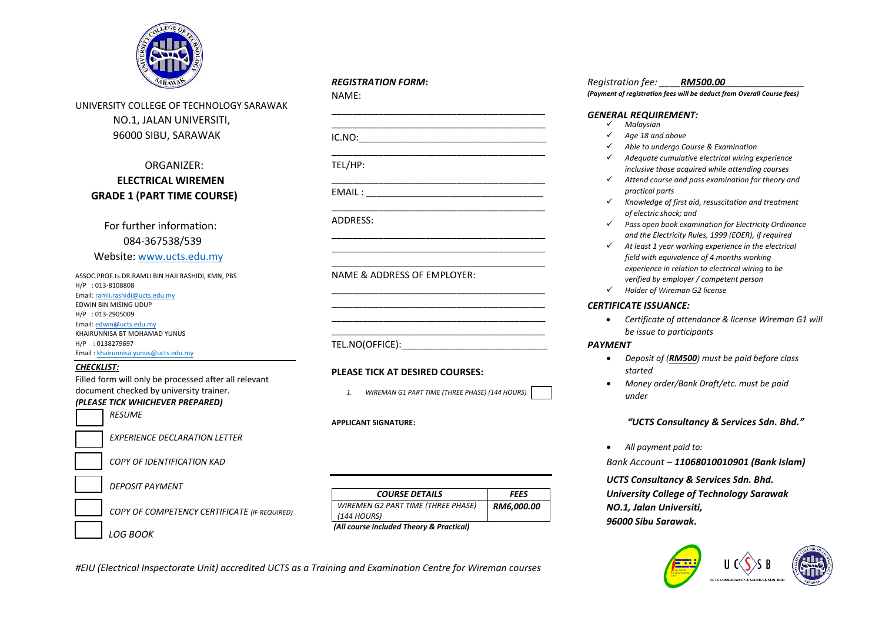

UNIVERSITY COLLEGE OF TECHNOLOGY SARAWAK NO.1, JALAN UNIVERSITI, 96000 SIBU, SARAWAK

# ORGANIZER:  **ELECTRICAL WIREMEN GRADE 1 (PART TIME COURSE)**

 For further information: 084-367538/539 Website: [www.ucts.edu.my](http://www.ucts.edu.my/)

ASSOC.PROF.ts.DR.RAMLI BIN HAJI RASHIDI, KMN, PBS H/P : 013-8108808 Email[: ramli.rashidi@ucts.edu.my](mailto:ramli.rashidi@ucts.edu.my) EDWIN BIN MISING UDUP H/P : 013-2905009 Email[: edwin@ucts.edu.my](mailto:edwin@ucts.edu.my) KHAIRUNNISA BT MOHAMAD YUNUS H/P : 0138279697 Email : khairunnisa.yunus@ucts.edu.my

#### *CHECKLIST:*

Filled form will only be processed after all relevant document checked by university trainer.

# *(PLEASE TICK WHICHEVER PREPARED) RESUME*

*EXPERIENCE DECLARATION LETTER* 

*COPY OF IDENTIFICATION KAD* 

*DEPOSIT PAYMENT* 

*COPY OF COMPETENCY CERTIFICATE (IF REQUIRED)* 

 *LOG BOOK* 

#### *COURSE DETAILS FEES WIREMEN G2 PART TIME (THREE PHASE) (144 HOURS) RM6,000.00*

*(All course included Theory & Practical)*

# *REGISTRATION FORM***:**

\_\_\_\_\_\_\_\_\_\_\_\_\_\_\_\_\_\_\_\_\_\_\_\_\_\_\_\_\_\_\_\_\_\_\_\_\_\_\_\_\_ \_\_\_\_\_\_\_\_\_\_\_\_\_\_\_\_\_\_\_\_\_\_\_\_\_\_\_\_\_\_\_\_\_\_\_\_\_\_\_\_\_  $IC.NO:$ \_\_\_\_\_\_\_\_\_\_\_\_\_\_\_\_\_\_\_\_\_\_\_\_\_\_\_\_\_\_\_\_\_\_\_\_\_\_\_\_\_

[TEL/HP:](TEL:_______________________________________________________________________________) 

NAME:

[\\_\\_\\_\\_\\_\\_\\_\\_\\_\\_\\_\\_\\_\\_\\_\\_\\_\\_\\_\\_\\_\\_\\_\\_\\_\\_\\_\\_\\_\\_\\_\\_\\_\\_\\_\\_\\_\\_\\_\\_\\_](TEL:_______________________________________________________________________________) EMAIL :

\_\_\_\_\_\_\_\_\_\_\_\_\_\_\_\_\_\_\_\_\_\_\_\_\_\_\_\_\_\_\_\_\_\_\_\_\_\_\_\_\_ ADDRESS:

NAME & ADDRESS OF EMPLOYER:

TEL.NO(OFFICE):

# **PLEASE TICK AT DESIRED COURSES:**

*1. WIREMAN G1 PART TIME (THREE PHASE) (144 HOURS)*

\_\_\_\_\_\_\_\_\_\_\_\_\_\_\_\_\_\_\_\_\_\_\_\_\_\_\_\_\_\_\_\_\_\_\_\_\_\_\_\_\_ \_\_\_\_\_\_\_\_\_\_\_\_\_\_\_\_\_\_\_\_\_\_\_\_\_\_\_\_\_\_\_\_\_\_\_\_\_\_\_\_\_ \_\_\_\_\_\_\_\_\_\_\_\_\_\_\_\_\_\_\_\_\_\_\_\_\_\_\_\_\_\_\_\_\_\_\_\_\_\_\_\_\_

\_\_\_\_\_\_\_\_\_\_\_\_\_\_\_\_\_\_\_\_\_\_\_\_\_\_\_\_\_\_\_\_\_\_\_\_\_\_\_\_\_ \_\_\_\_\_\_\_\_\_\_\_\_\_\_\_\_\_\_\_\_\_\_\_\_\_\_\_\_\_\_\_\_\_\_\_\_\_\_\_\_\_ \_\_\_\_\_\_\_\_\_\_\_\_\_\_\_\_\_\_\_\_\_\_\_\_\_\_\_\_\_\_\_\_\_\_\_\_\_\_\_\_\_ \_\_\_\_\_\_\_\_\_\_\_\_\_\_\_\_\_\_\_\_\_\_\_\_\_\_\_\_\_\_\_\_\_\_\_\_\_\_\_\_\_

# **APPLICANT SIGNATURE:**

*#EIU (Electrical Inspectorate Unit) accredited UCTS as a Training and Examination Centre for Wireman courses* 

# *Registration fee: \_\_\_\_RM500.00\_\_\_\_\_\_\_\_\_\_\_\_\_\_\_*

*(Payment of registration fees will be deduct from Overall Course fees)* 

#### *GENERAL REQUIREMENT:*

- *Malaysian*
- *Age 18 and above*
- *Able to undergo Course & Examination*
- *Adequate cumulative electrical wiring experience inclusive those acquired while attending courses*
- *Attend course and pass examination for theory and practical parts*
- *Knowledge of first aid, resuscitation and treatment of electric shock; and*
- *Pass open book examination for Electricity Ordinance and the Electricity Rules, 1999 (EOER), if required*
- *At least 1 year working experience in the electrical field with equivalence of 4 months working experience in relation to electrical wiring to be verified by employer / competent person*
- *Holder of Wireman G2 license*

#### *CERTIFICATE ISSUANCE:*

• *Certificate of attendance & license Wireman G1 will be issue to participants*

#### *PAYMENT*

- *Deposit of (RM500) must be paid before class started*
- *Money order/Bank Draft/etc. must be paid under*

*"UCTS Consultancy & Services Sdn. Bhd."*

*All payment paid to:*

*Bank Account – 11068010010901 (Bank Islam)*

*UCTS Consultancy & Services Sdn. Bhd. University College of Technology Sarawak NO.1, Jalan Universiti, 96000 Sibu Sarawak.*